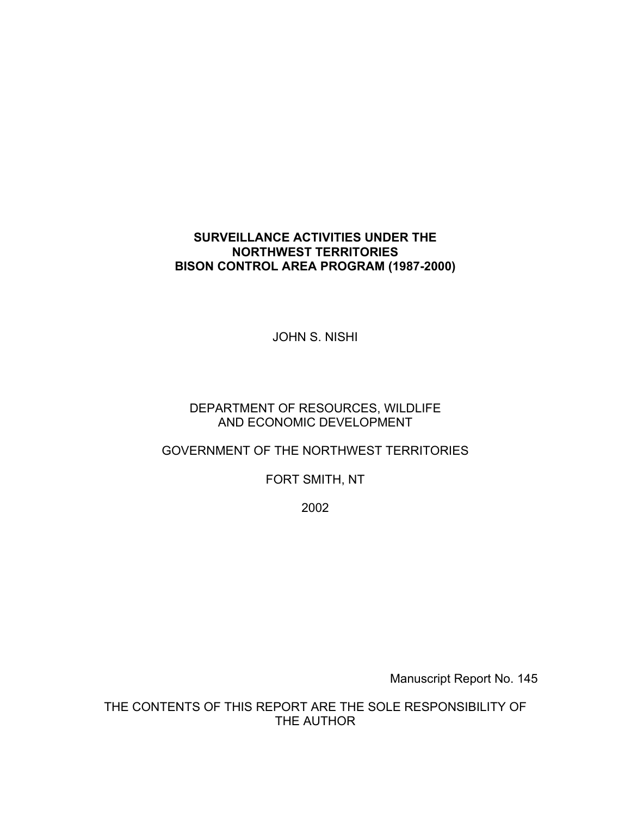# **SURVEILLANCE ACTIVITIES UNDER THE NORTHWEST TERRITORIES BISON CONTROL AREA PROGRAM (1987-2000)**

JOHN S. NISHI

# DEPARTMENT OF RESOURCES, WILDLIFE AND ECONOMIC DEVELOPMENT

# GOVERNMENT OF THE NORTHWEST TERRITORIES

FORT SMITH, NT

2002

Manuscript Report No. 145

THE CONTENTS OF THIS REPORT ARE THE SOLE RESPONSIBILITY OF THE AUTHOR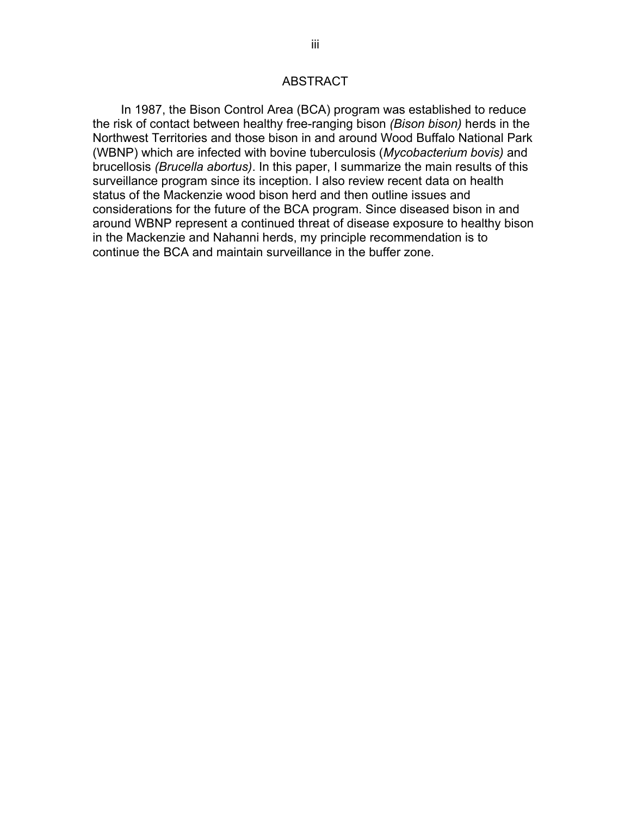#### ABSTRACT

<span id="page-1-0"></span>In 1987, the Bison Control Area (BCA) program was established to reduce the risk of contact between healthy free-ranging bison *(Bison bison)* herds in the Northwest Territories and those bison in and around Wood Buffalo National Park (WBNP) which are infected with bovine tuberculosis (*Mycobacterium bovis)* and brucellosis *(Brucella abortus)*. In this paper, I summarize the main results of this surveillance program since its inception. I also review recent data on health status of the Mackenzie wood bison herd and then outline issues and considerations for the future of the BCA program. Since diseased bison in and around WBNP represent a continued threat of disease exposure to healthy bison in the Mackenzie and Nahanni herds, my principle recommendation is to continue the BCA and maintain surveillance in the buffer zone.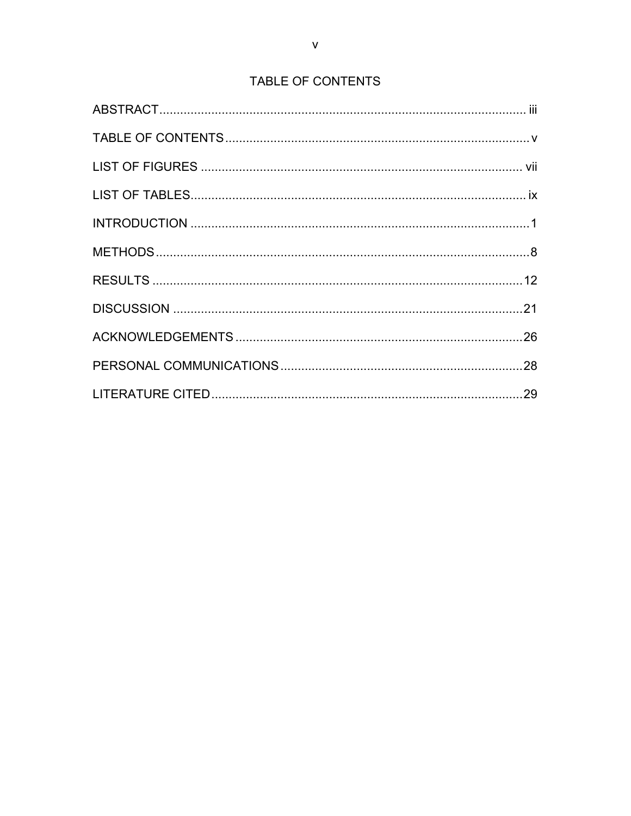# TABLE OF CONTENTS

<span id="page-2-0"></span>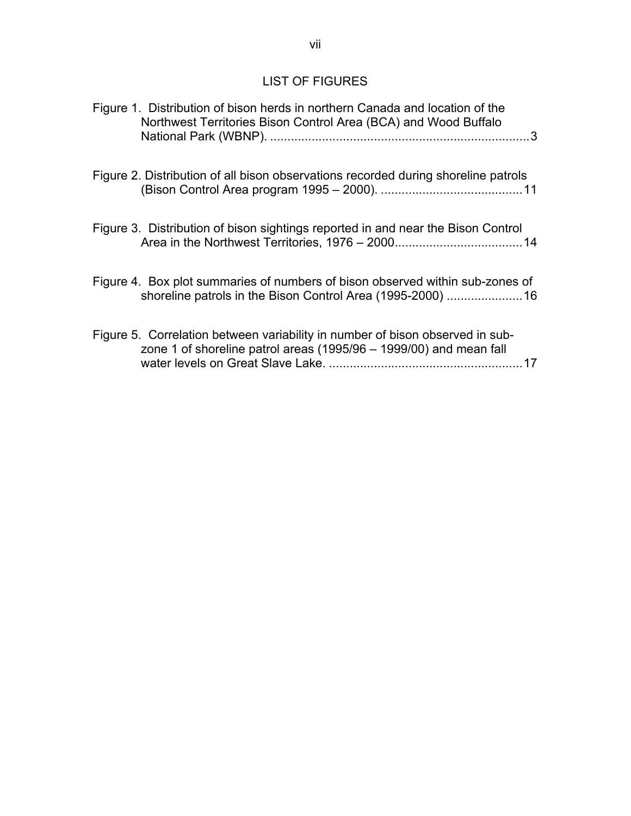# LIST OF FIGURES

<span id="page-3-0"></span>

| Figure 1. Distribution of bison herds in northern Canada and location of the<br>Northwest Territories Bison Control Area (BCA) and Wood Buffalo           |
|-----------------------------------------------------------------------------------------------------------------------------------------------------------|
| Figure 2. Distribution of all bison observations recorded during shoreline patrols                                                                        |
| Figure 3. Distribution of bison sightings reported in and near the Bison Control                                                                          |
| Figure 4. Box plot summaries of numbers of bison observed within sub-zones of                                                                             |
| Figure 5. Correlation between variability in number of bison observed in sub-<br>zone 1 of shoreline patrol areas (1995/96 - 1999/00) and mean fall<br>17 |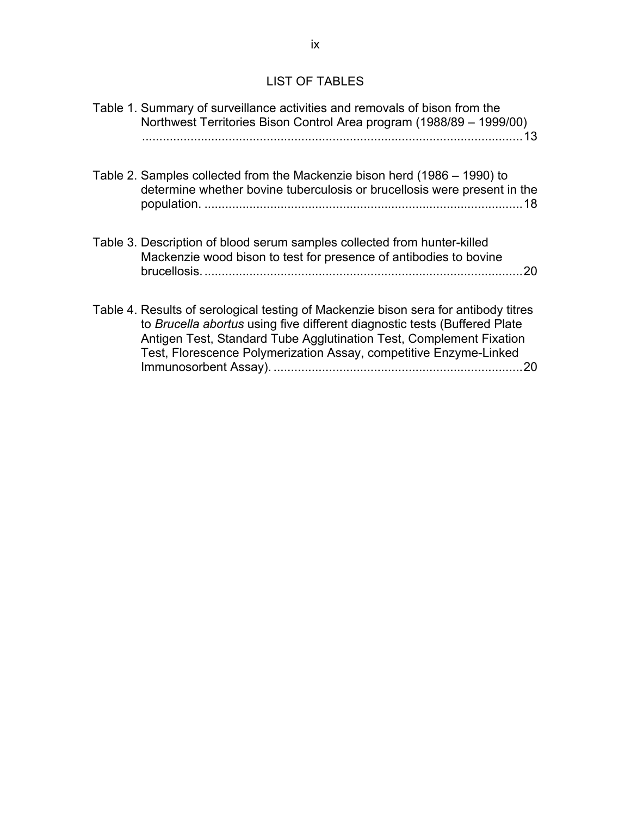## LIST OF TABLES

<span id="page-4-0"></span>[Table 1. Summary of surveillance activities and removals of bison from the](#page-17-0)  [Northwest Territories Bison Control Area program \(1988/89 – 1999/00\)](#page-17-0) [..............................................................................................................13](#page-17-0) 

[Table 2. Samples collected from the Mackenzie bison herd \(1986 – 1990\) to](#page-22-0)  [determine whether bovine tuberculosis or brucellosis were present in the](#page-22-0)  population. [............................................................................................18](#page-22-0) 

- [Table 3. Description of blood serum samples collected from hunter-killed](#page-24-0)  [Mackenzie wood bison to test for presence of antibodies to bovine](#page-24-0)  [brucellosis.............................................................................................20](#page-24-0)
- [Table 4. Results of serological testing of Mackenzie bison sera for antibody titres](#page-24-0)  to *Brucella abortus* [using five different diagnostic tests \(Buffered Plate](#page-24-0)  [Antigen Test, Standard Tube Agglutination Test, Complement Fixation](#page-24-0)  [Test, Florescence Polymerization Assay, competitive Enzyme-Linked](#page-24-0)  Immunosorbent Assay). [........................................................................20](#page-24-0)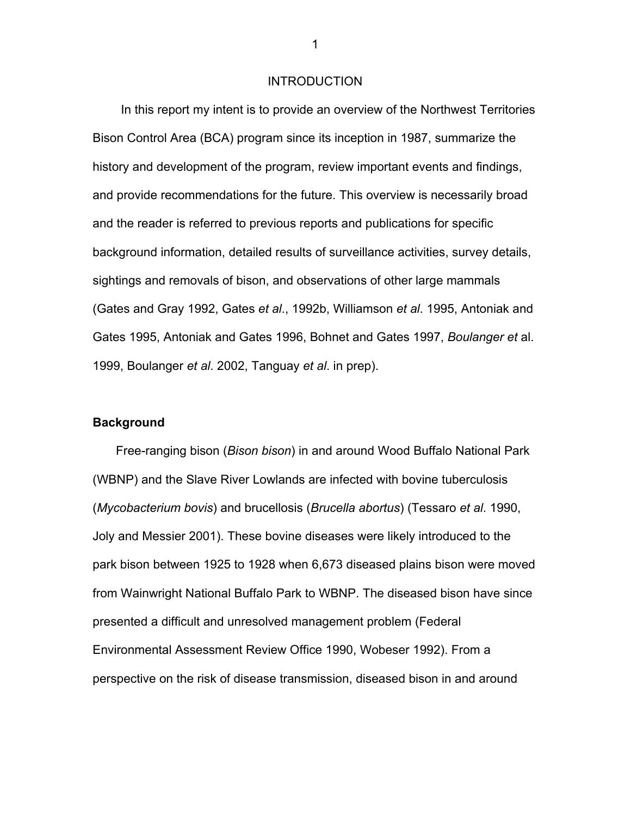#### INTRODUCTION

<span id="page-5-0"></span>In this report my intent is to provide an overview of the Northwest Territories Bison Control Area (BCA) program since its inception in 1987, summarize the history and development of the program, review important events and findings, and provide recommendations for the future. This overview is necessarily broad and the reader is referred to previous reports and publications for specific background information, detailed results of surveillance activities, survey details, sightings and removals of bison, and observations of other large mammals (Gates and Gray 1992, Gates *et al*., 1992b, Williamson *et al*. 1995, Antoniak and Gates 1995, Antoniak and Gates 1996, Bohnet and Gates 1997, *Boulanger et* al. 1999, Boulanger *et al*. 2002, Tanguay *et al*. in prep).

#### **Background**

Free-ranging bison (*Bison bison*) in and around Wood Buffalo National Park (WBNP) and the Slave River Lowlands are infected with bovine tuberculosis (*Mycobacterium bovis*) and brucellosis (*Brucella abortus*) (Tessaro *et al*. 1990, Joly and Messier 2001). These bovine diseases were likely introduced to the park bison between 1925 to 1928 when 6,673 diseased plains bison were moved from Wainwright National Buffalo Park to WBNP. The diseased bison have since presented a difficult and unresolved management problem (Federal Environmental Assessment Review Office 1990, Wobeser 1992). From a perspective on the risk of disease transmission, diseased bison in and around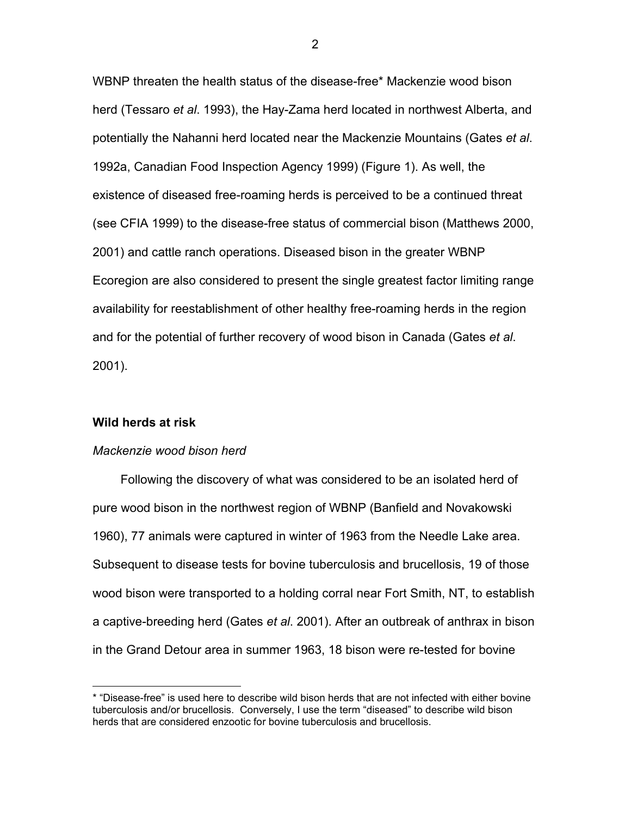WBNP threaten the health status of the disease-free[\\*](#page-6-0) Mackenzie wood bison herd (Tessaro *et al*. 1993), the Hay-Zama herd located in northwest Alberta, and potentially the Nahanni herd located near the Mackenzie Mountains (Gates *et al*. 1992a, Canadian Food Inspection Agency 1999) (Figure 1). As well, the existence of diseased free-roaming herds is perceived to be a continued threat (see CFIA 1999) to the disease-free status of commercial bison (Matthews 2000, 2001) and cattle ranch operations. Diseased bison in the greater WBNP Ecoregion are also considered to present the single greatest factor limiting range availability for reestablishment of other healthy free-roaming herds in the region and for the potential of further recovery of wood bison in Canada (Gates *et al*. 2001).

#### **Wild herds at risk**

## *Mackenzie wood bison herd*

Following the discovery of what was considered to be an isolated herd of pure wood bison in the northwest region of WBNP (Banfield and Novakowski 1960), 77 animals were captured in winter of 1963 from the Needle Lake area. Subsequent to disease tests for bovine tuberculosis and brucellosis, 19 of those wood bison were transported to a holding corral near Fort Smith, NT, to establish a captive-breeding herd (Gates *et al*. 2001). After an outbreak of anthrax in bison in the Grand Detour area in summer 1963, 18 bison were re-tested for bovin[e](#page-36-0)

<span id="page-6-0"></span> <sup>\* &</sup>quot;Disease-free" is used here to describe wild bison herds that are not infected with either bovine tuberculosis and/or brucellosis. Conversely, I use the term "diseased" to describe wild bison herds that are considered enzootic for bovine tuberculosis and brucellosis.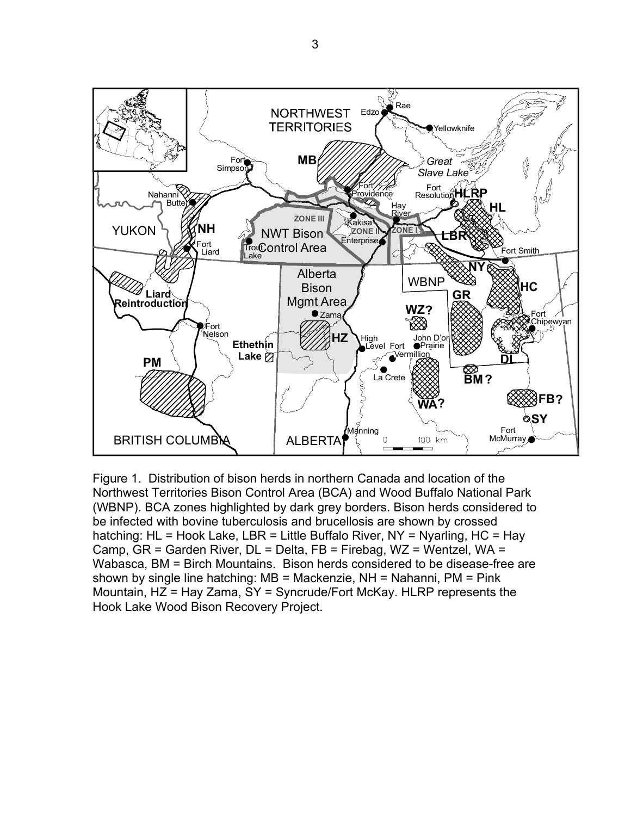<span id="page-7-0"></span>

Figure 1. Distribution of bison herds in northern Canada and location of the Northwest Territories Bison Control Area (BCA) and Wood Buffalo National Park (WBNP). BCA zones highlighted by dark grey borders. Bison herds considered to be infected with bovine tuberculosis and brucellosis are shown by crossed hatching: HL = Hook Lake, LBR = Little Buffalo River, NY = Nyarling, HC = Hay Camp, GR = Garden River, DL = Delta, FB = Firebag, WZ = Wentzel, WA = Wabasca, BM = Birch Mountains. Bison herds considered to be disease-free are shown by single line hatching: MB = Mackenzie, NH = Nahanni, PM = Pink Mountain, HZ = Hay Zama, SY = Syncrude/Fort McKay. HLRP represents the Hook Lake Wood Bison Recovery Project.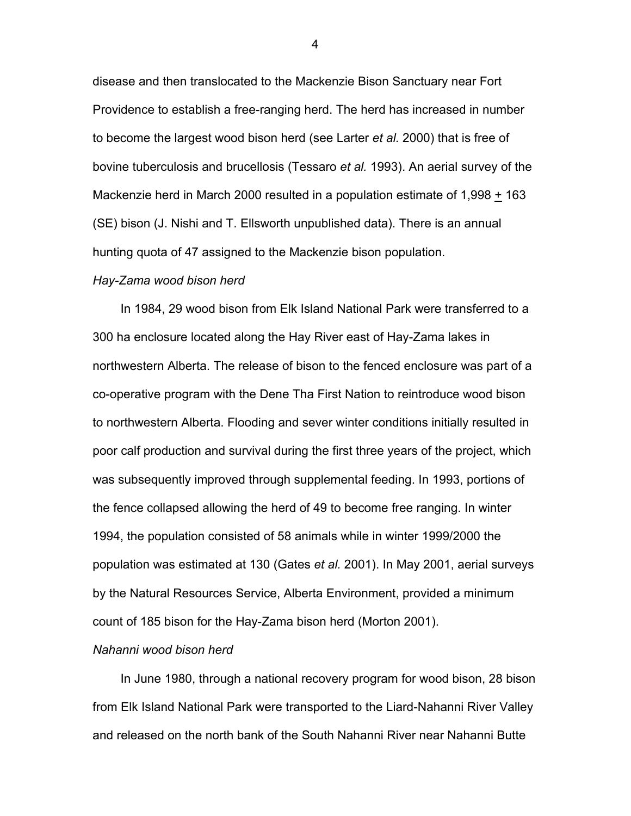disease and then translocated to the Mackenzie Bison Sanctuary near Fort Providence to establish a free-ranging herd. The herd has increased in number to become the largest wood bison herd (see Larter *et al.* 2000) that is free of bovine tuberculosis and brucellosis (Tessaro *et al.* 1993). An aerial survey of the Mackenzie herd in March 2000 resulted in a population estimate of 1,998 + 163 (SE) bison (J. Nishi and T. Ellsworth unpublished data). There is an annual hunting quota of 47 assigned to the Mackenzie bison population.

#### *Hay-Zama wood bison herd*

In 1984, 29 wood bison from Elk Island National Park were transferred to a 300 ha enclosure located along the Hay River east of Hay-Zama lakes in northwestern Alberta. The release of bison to the fenced enclosure was part of a co-operative program with the Dene Tha First Nation to reintroduce wood bison to northwestern Alberta. Flooding and sever winter conditions initially resulted in poor calf production and survival during the first three years of the project, which was subsequently improved through supplemental feeding. In 1993, portions of the fence collapsed allowing the herd of 49 to become free ranging. In winter 1994, the population consisted of 58 animals while in winter 1999/2000 the population was estimated at 130 (Gates *et al.* 2001). In May 2001, aerial surveys by the Natural Resources Service, Alberta Environment, provided a minimum count of 185 bison for the Hay-Zama bison herd (Morton 2001).

#### *Nahanni wood bison herd*

In June 1980, through a national recovery program for wood bison, 28 bison from Elk Island National Park were transported to the Liard-Nahanni River Valley and released on the north bank of the South Nahanni River near Nahanni Butte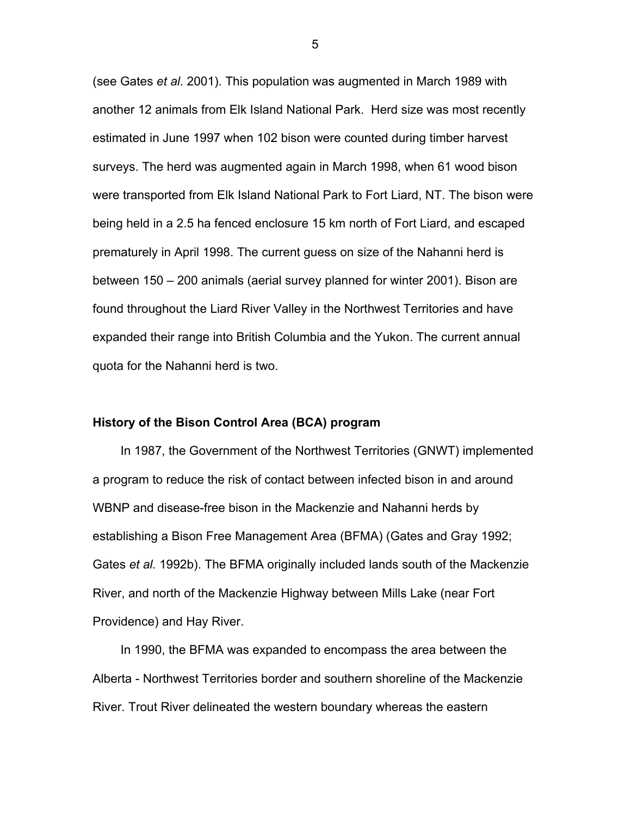(see Gates *et al.* 2001). This population was augmented in March 1989 with another 12 animals from Elk Island National Park. Herd size was most recently estimated in June 1997 when 102 bison were counted during timber harvest surveys. The herd was augmented again in March 1998, when 61 wood bison were transported from Elk Island National Park to Fort Liard, NT. The bison were being held in a 2.5 ha fenced enclosure 15 km north of Fort Liard, and escaped prematurely in April 1998. The current guess on size of the Nahanni herd is between 150 – 200 animals (aerial survey planned for winter 2001). Bison are found throughout the Liard River Valley in the Northwest Territories and have expanded their range into British Columbia and the Yukon. The current annual quota for the Nahanni herd is two.

#### **History of the Bison Control Area (BCA) program**

In 1987, the Government of the Northwest Territories (GNWT) implemented a program to reduce the risk of contact between infected bison in and around WBNP and disease-free bison in the Mackenzie and Nahanni herds by establishing a Bison Free Management Area (BFMA) (Gates and Gray 1992; Gates *et al.* 1992b). The BFMA originally included lands south of the Mackenzie River, and north of the Mackenzie Highway between Mills Lake (near Fort Providence) and Hay River.

In 1990, the BFMA was expanded to encompass the area between the Alberta - Northwest Territories border and southern shoreline of the Mackenzie River. Trout River delineated the western boundary whereas the eastern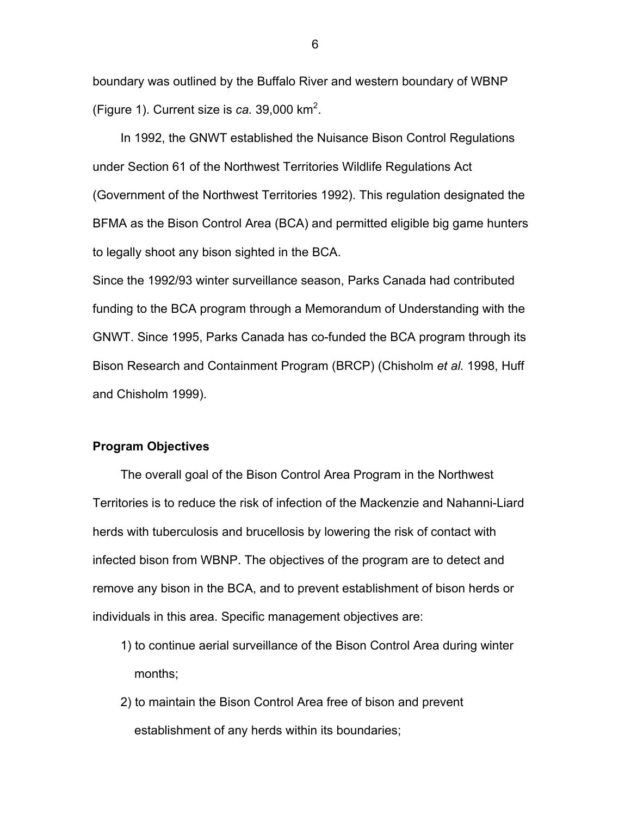boundary was outlined by the Buffalo River and western boundary of WBNP (Figure 1). Current size is *ca.* 39,000 km<sup>2</sup> .

In 1992, the GNWT established the Nuisance Bison Control Regulations under Section 61 of the Northwest Territories Wildlife Regulations Act (Government of the Northwest Territories 1992). This regulation designated the BFMA as the Bison Control Area (BCA) and permitted eligible big game hunters to legally shoot any bison sighted in the BCA.

Since the 1992/93 winter surveillance season, Parks Canada had contributed funding to the BCA program through a Memorandum of Understanding with the GNWT. Since 1995, Parks Canada has co-funded the BCA program through its Bison Research and Containment Program (BRCP) (Chisholm *et al.* 1998, Huff and Chisholm 1999).

#### **Program Objectives**

The overall goal of the Bison Control Area Program in the Northwest Territories is to reduce the risk of infection of the Mackenzie and Nahanni-Liard herds with tuberculosis and brucellosis by lowering the risk of contact with infected bison from WBNP. The objectives of the program are to detect and remove any bison in the BCA, and to prevent establishment of bison herds or individuals in this area. Specific management objectives are:

- 1) to continue aerial surveillance of the Bison Control Area during winter months;
- 2) to maintain the Bison Control Area free of bison and prevent establishment of any herds within its boundaries;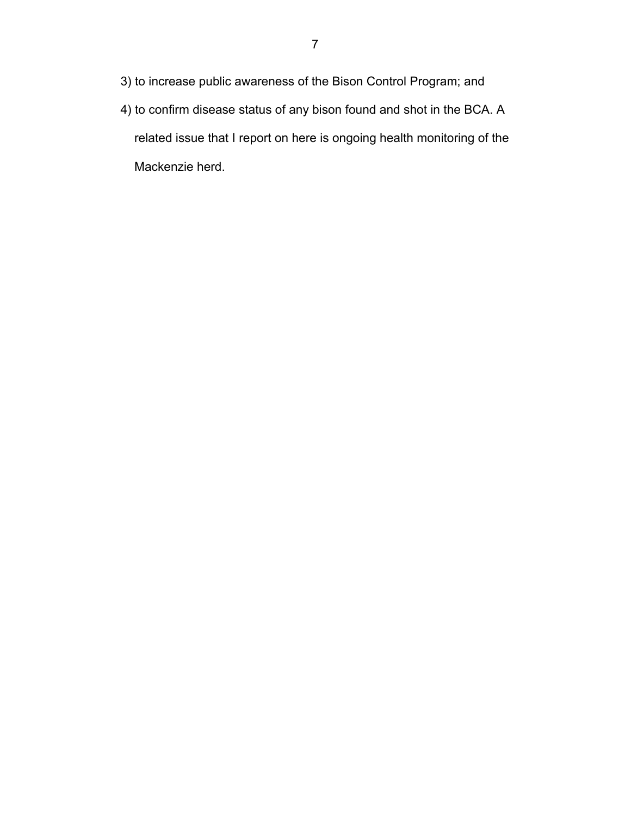- 3) to increase public awareness of the Bison Control Program; and
- 4) to confirm disease status of any bison found and shot in the BCA. A related issue that I report on here is ongoing health monitoring of the Mackenzie herd.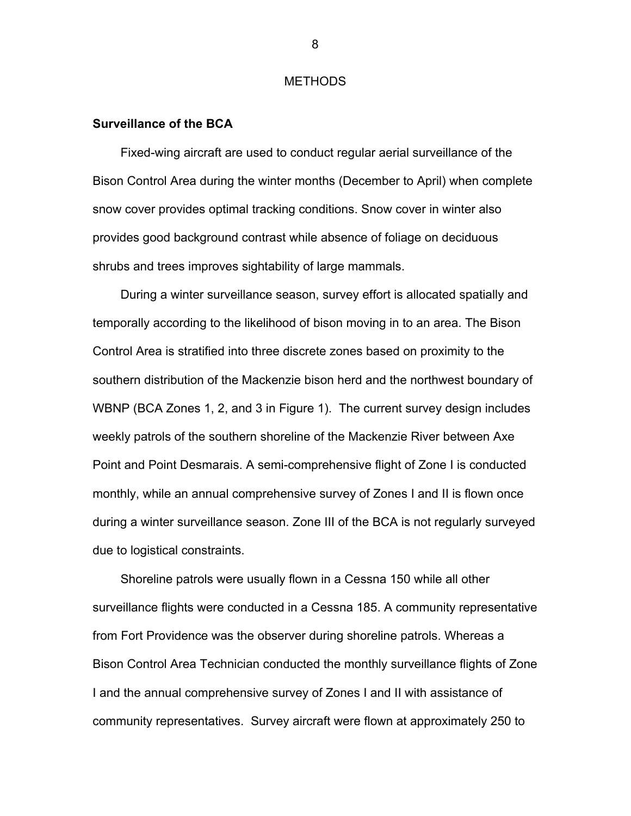#### **METHODS**

#### <span id="page-12-0"></span>**Surveillance of the BCA**

Fixed-wing aircraft are used to conduct regular aerial surveillance of the Bison Control Area during the winter months (December to April) when complete snow cover provides optimal tracking conditions. Snow cover in winter also provides good background contrast while absence of foliage on deciduous shrubs and trees improves sightability of large mammals.

During a winter surveillance season, survey effort is allocated spatially and temporally according to the likelihood of bison moving in to an area. The Bison Control Area is stratified into three discrete zones based on proximity to the southern distribution of the Mackenzie bison herd and the northwest boundary of WBNP (BCA Zones 1, 2, and 3 in Figure 1). The current survey design includes weekly patrols of the southern shoreline of the Mackenzie River between Axe Point and Point Desmarais. A semi-comprehensive flight of Zone I is conducted monthly, while an annual comprehensive survey of Zones I and II is flown once during a winter surveillance season. Zone III of the BCA is not regularly surveyed due to logistical constraints.

Shoreline patrols were usually flown in a Cessna 150 while all other surveillance flights were conducted in a Cessna 185. A community representative from Fort Providence was the observer during shoreline patrols. Whereas a Bison Control Area Technician conducted the monthly surveillance flights of Zone I and the annual comprehensive survey of Zones I and II with assistance of community representatives. Survey aircraft were flown at approximately 250 to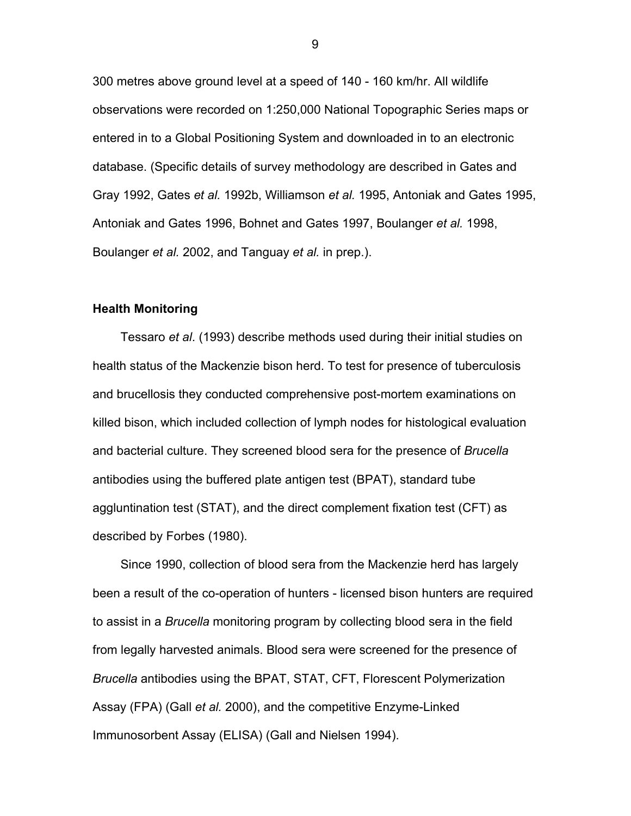300 metres above ground level at a speed of 140 - 160 km/hr. All wildlife observations were recorded on 1:250,000 National Topographic Series maps or entered in to a Global Positioning System and downloaded in to an electronic database. (Specific details of survey methodology are described in Gates and Gray 1992, Gates *et al.* 1992b, Williamson *et al.* 1995, Antoniak and Gates 1995, Antoniak and Gates 1996, Bohnet and Gates 1997, Boulanger *et al.* 1998, Boulanger *et al.* 2002, and Tanguay *et al.* in prep.).

#### **Health Monitoring**

Tessaro *et al*. (1993) describe methods used during their initial studies on health status of the Mackenzie bison herd. To test for presence of tuberculosis and brucellosis they conducted comprehensive post-mortem examinations on killed bison, which included collection of lymph nodes for histological evaluation and bacterial culture. They screened blood sera for the presence of *Brucella* antibodies using the buffered plate antigen test (BPAT), standard tube aggluntination test (STAT), and the direct complement fixation test (CFT) as described by Forbes (1980).

Since 1990, collection of blood sera from the Mackenzie herd has largely been a result of the co-operation of hunters - licensed bison hunters are required to assist in a *Brucella* monitoring program by collecting blood sera in the field from legally harvested animals. Blood sera were screened for the presence of *Brucella* antibodies using the BPAT, STAT, CFT, Florescent Polymerization Assay (FPA) (Gall *et al.* 2000), and the competitive Enzyme-Linked Immunosorbent Assay (ELISA) (Gall and Nielsen 1994).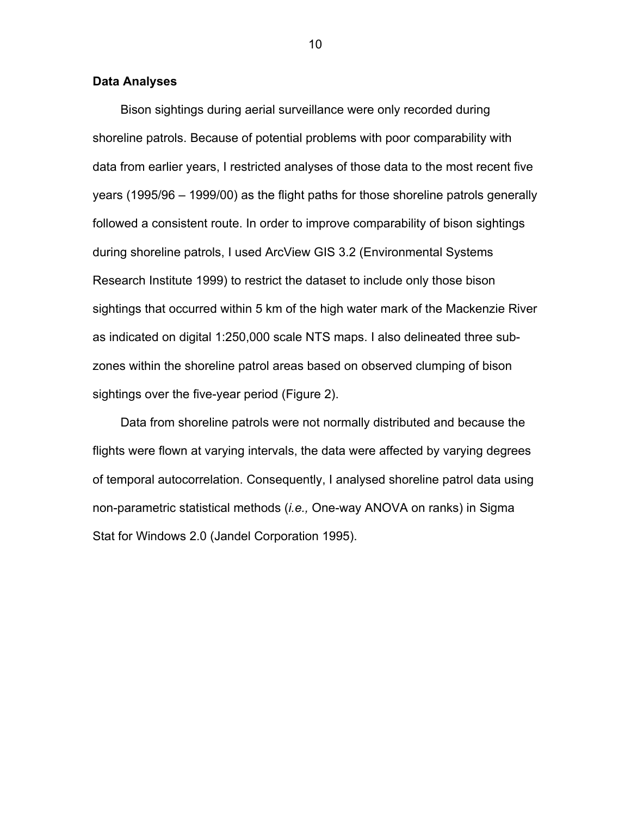#### **Data Analyses**

Bison sightings during aerial surveillance were only recorded during shoreline patrols. Because of potential problems with poor comparability with data from earlier years, I restricted analyses of those data to the most recent five years (1995/96 – 1999/00) as the flight paths for those shoreline patrols generally followed a consistent route. In order to improve comparability of bison sightings during shoreline patrols, I used ArcView GIS 3.2 (Environmental Systems Research Institute 1999) to restrict the dataset to include only those bison sightings that occurred within 5 km of the high water mark of the Mackenzie River as indicated on digital 1:250,000 scale NTS maps. I also delineated three subzones within the shoreline patrol areas based on observed clumping of bison sightings over the five-year period (Figure 2).

Data from shoreline patrols were not normally distributed and because the flights were flown at varying intervals, the data were affected by varying degrees of temporal autocorrelation. Consequently, I analysed shoreline patrol data using non-parametric statistical methods (*i.e.,* One-way ANOVA on ranks) in Sigma Stat for Windows 2.0 (Jandel Corporation 1995).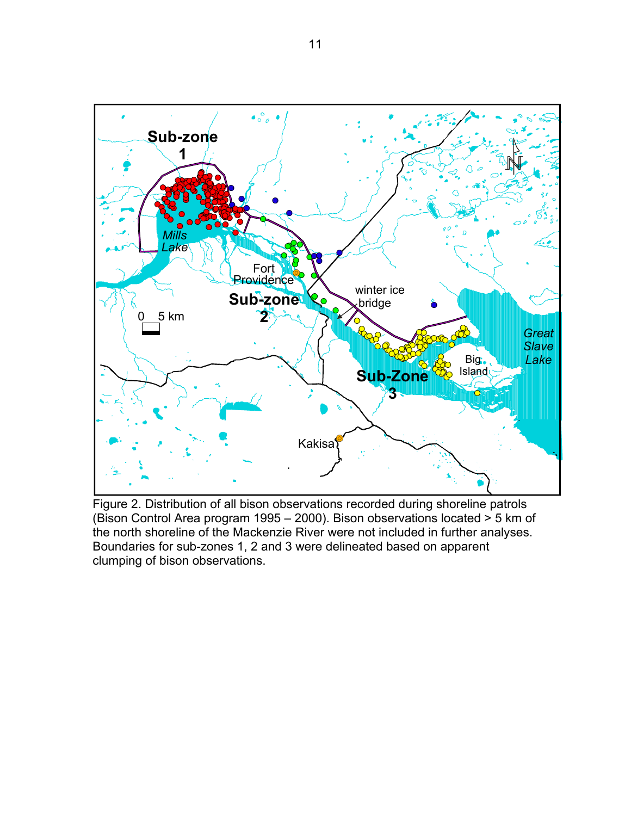<span id="page-15-0"></span>

Figure 2. Distribution of all bison observations recorded during shoreline patrols (Bison Control Area program 1995 – 2000). Bison observations located > 5 km of the north shoreline of the Mackenzie River were not included in further analyses. Boundaries for sub-zones 1, 2 and 3 were delineated based on apparent clumping of bison observations.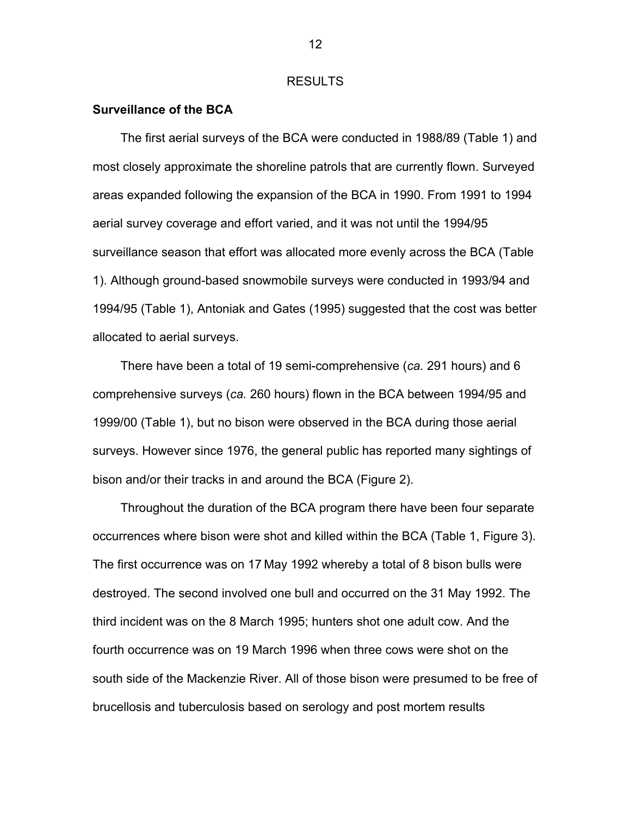#### RESULTS

#### <span id="page-16-0"></span>**Surveillance of the BCA**

The first aerial surveys of the BCA were conducted in 1988/89 (Table 1) and most closely approximate the shoreline patrols that are currently flown. Surveyed areas expanded following the expansion of the BCA in 1990. From 1991 to 1994 aerial survey coverage and effort varied, and it was not until the 1994/95 surveillance season that effort was allocated more evenly across the BCA (Table 1). Although ground-based snowmobile surveys were conducted in 1993/94 and 1994/95 (Table 1), Antoniak and Gates (1995) suggested that the cost was better allocated to aerial surveys.

There have been a total of 19 semi-comprehensive (*ca.* 291 hours) and 6 comprehensive surveys (*ca.* 260 hours) flown in the BCA between 1994/95 and 1999/00 (Table 1), but no bison were observed in the BCA during those aerial surveys. However since 1976, the general public has reported many sightings of bison and/or their tracks in and around the BCA (Figure 2).

Throughout the duration of the BCA program there have been four separate occurrences where bison were shot and killed within the BCA (Table 1, Figure 3). The first occurrence was on 17 May 1992 whereby a total of 8 bison bulls were destroyed. The second involved one bull and occurred on the 31 May 1992. The third incident was on the 8 March 1995; hunters shot one adult cow. And the fourth occurrence was on 19 March 1996 when three cows were shot on the south side of the Mackenzie River. All of those bison were presumed to be free of brucellosis and tuberculosis based on serology and post mortem results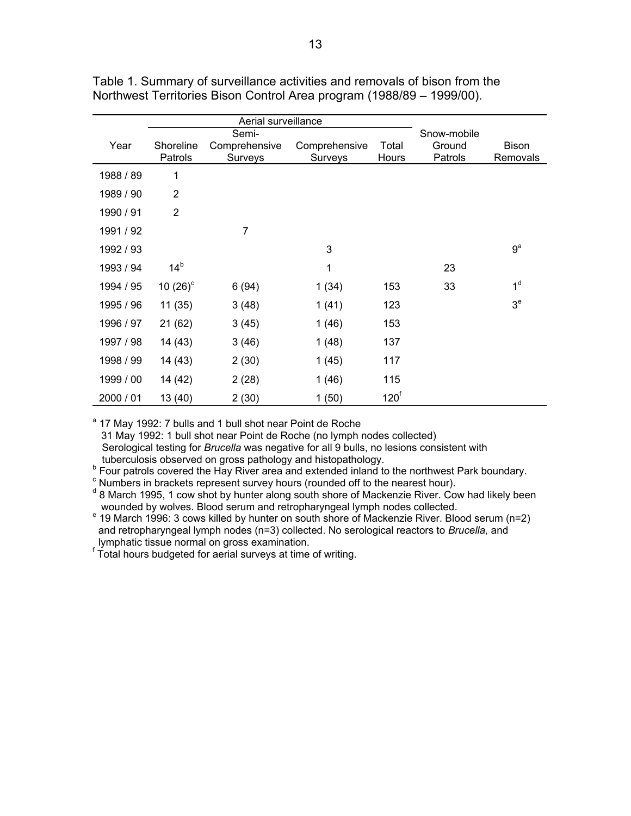|           |                      | Aerial surveillance      |                          |                  |                   |                          |
|-----------|----------------------|--------------------------|--------------------------|------------------|-------------------|--------------------------|
|           |                      | Semi-                    |                          |                  | Snow-mobile       |                          |
| Year      | Shoreline<br>Patrols | Comprehensive<br>Surveys | Comprehensive<br>Surveys | Total<br>Hours   | Ground<br>Patrols | <b>Bison</b><br>Removals |
|           |                      |                          |                          |                  |                   |                          |
| 1988 / 89 | 1                    |                          |                          |                  |                   |                          |
| 1989 / 90 | $\overline{2}$       |                          |                          |                  |                   |                          |
| 1990 / 91 | $\overline{2}$       |                          |                          |                  |                   |                          |
| 1991 / 92 |                      | 7                        |                          |                  |                   |                          |
| 1992 / 93 |                      |                          | 3                        |                  |                   | 9 <sup>a</sup>           |
| 1993 / 94 | 14 <sup>b</sup>      |                          | 1                        |                  | 23                |                          |
| 1994 / 95 | 10 $(26)^c$          | 6(94)                    | 1(34)                    | 153              | 33                | 1 <sup>d</sup>           |
| 1995 / 96 | 11 (35)              | 3(48)                    | 1(41)                    | 123              |                   | 3 <sup>e</sup>           |
| 1996 / 97 | 21(62)               | 3(45)                    | 1(46)                    | 153              |                   |                          |
| 1997 / 98 | 14 (43)              | 3(46)                    | 1(48)                    | 137              |                   |                          |
| 1998 / 99 | 14 (43)              | 2(30)                    | 1(45)                    | 117              |                   |                          |
| 1999 / 00 | 14 (42)              | 2(28)                    | 1(46)                    | 115              |                   |                          |
| 2000 / 01 | 13 (40)              | 2(30)                    | 1(50)                    | 120 <sup>f</sup> |                   |                          |

<span id="page-17-0"></span>Table 1. Summary of surveillance activities and removals of bison from the Northwest Territories Bison Control Area program (1988/89 – 1999/00).

<sup>a</sup> 17 May 1992: 7 bulls and 1 bull shot near Point de Roche

31 May 1992: 1 bull shot near Point de Roche (no lymph nodes collected)

Serological testing for *Brucella* was negative for all 9 bulls, no lesions consistent with tuberculosis observed on gross pathology and histopathology.

<sup>b</sup> Four patrols covered the Hay River area and extended inland to the northwest Park boundary.<br><sup>c</sup> Numbers in brackets represent survey hours (rounded off to the nearest hour).

 $^{\rm c}$  Numbers in brackets represent survey hours (rounded off to the nearest hour).<br><sup>d</sup> 8 March 1995, 1 cow shot by hunter along south shore of Mackenzie River. Cow had likely been wounded by wolves. Blood serum and retropharyngeal lymph nodes collected.

 $e^{e}$  19 March 1996: 3 cows killed by hunter on south shore of Mackenzie River. Blood serum (n=2) and retropharyngeal lymph nodes (n=3) collected. No serological reactors to *Brucella,* and lymphatic tissue normal on gross examination.

f Total hours budgeted for aerial surveys at time of writing.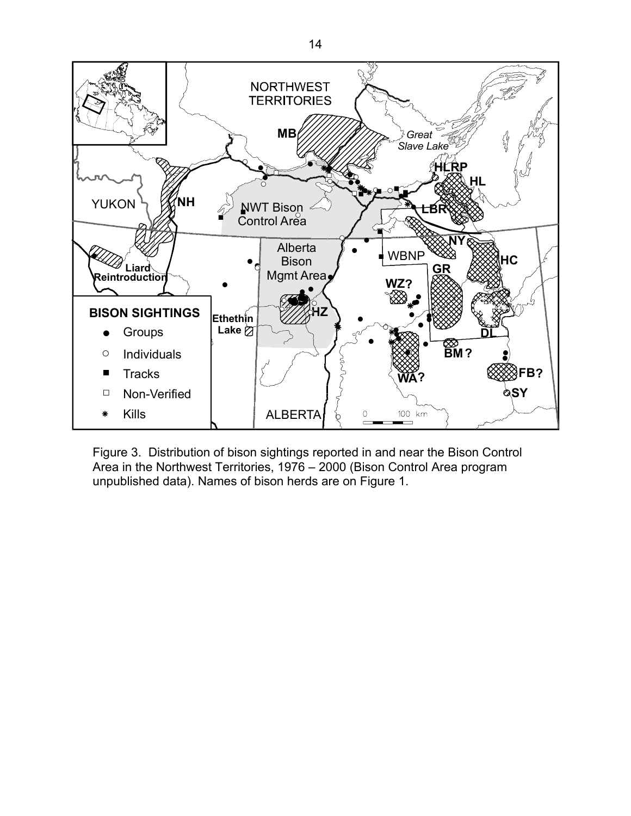<span id="page-18-0"></span>

Figure 3. Distribution of bison sightings reported in and near the Bison Control Area in the Northwest Territories, 1976 – 2000 (Bison Control Area program unpublished data). Names of bison herds are on Figure 1.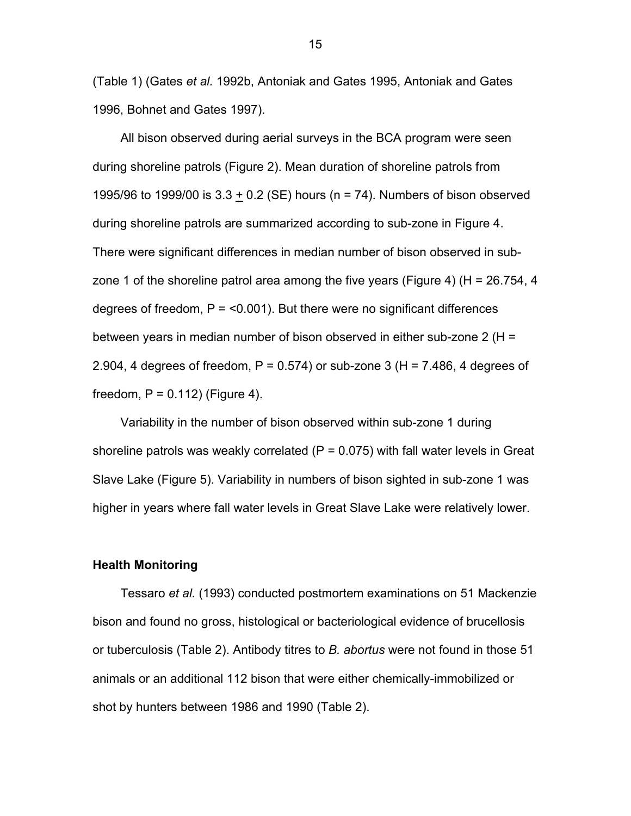(Table 1) (Gates *et al.* 1992b, Antoniak and Gates 1995, Antoniak and Gates 1996, Bohnet and Gates 1997).

All bison observed during aerial surveys in the BCA program were seen during shoreline patrols (Figure 2). Mean duration of shoreline patrols from 1995/96 to 1999/00 is 3.3 + 0.2 (SE) hours (n = 74). Numbers of bison observed during shoreline patrols are summarized according to sub-zone in Figure 4. There were significant differences in median number of bison observed in subzone 1 of the shoreline patrol area among the five years (Figure 4) (H = 26.754, 4 degrees of freedom,  $P = 0.001$ . But there were no significant differences between years in median number of bison observed in either sub-zone 2 (H = 2.904, 4 degrees of freedom,  $P = 0.574$ ) or sub-zone 3 (H = 7.486, 4 degrees of freedom,  $P = 0.112$ ) (Figure 4).

Variability in the number of bison observed within sub-zone 1 during shoreline patrols was weakly correlated  $(P = 0.075)$  with fall water levels in Great Slave Lake (Figure 5). Variability in numbers of bison sighted in sub-zone 1 was higher in years where fall water levels in Great Slave Lake were relatively lower.

#### **Health Monitoring**

Tessaro *et al.* (1993) conducted postmortem examinations on 51 Mackenzie bison and found no gross, histological or bacteriological evidence of brucellosis or tuberculosis (Table 2). Antibody titres to *B. abortus* were not found in those 51 animals or an additional 112 bison that were either chemically-immobilized or shot by hunters between 1986 and 1990 (Table 2).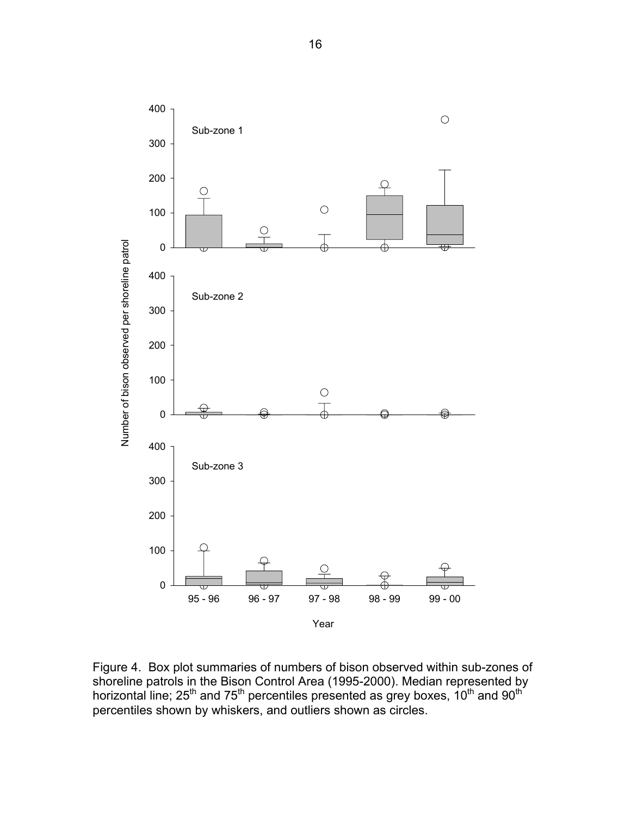<span id="page-20-0"></span>

Figure 4. Box plot summaries of numbers of bison observed within sub-zones of shoreline patrols in the Bison Control Area (1995-2000). Median represented by horizontal line; 25<sup>th</sup> and 75<sup>th</sup> percentiles presented as grey boxes, 10<sup>th</sup> and 90<sup>th</sup> percentiles shown by whiskers, and outliers shown as circles.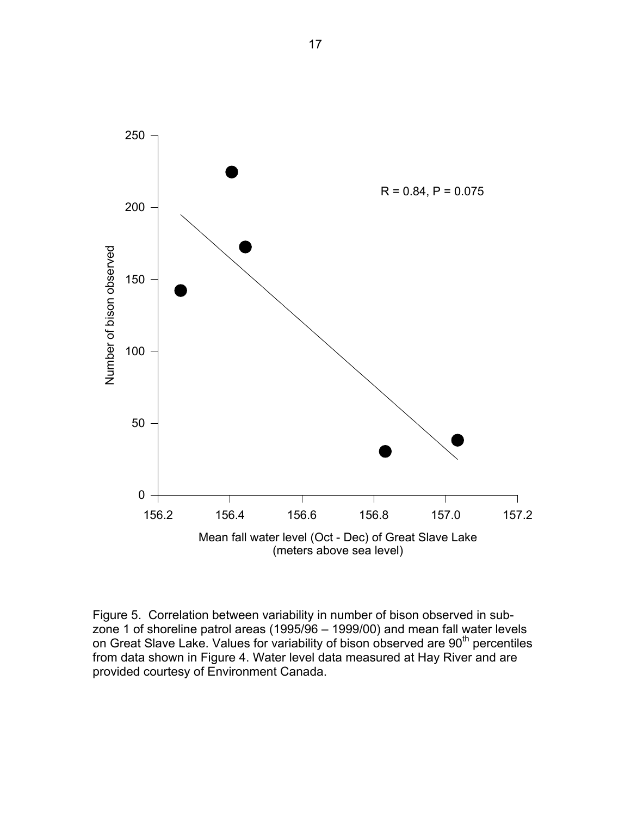<span id="page-21-0"></span>

Figure 5. Correlation between variability in number of bison observed in subzone 1 of shoreline patrol areas (1995/96 – 1999/00) and mean fall water levels on Great Slave Lake. Values for variability of bison observed are 90<sup>th</sup> percentiles from data shown in Figure 4. Water level data measured at Hay River and are provided courtesy of Environment Canada.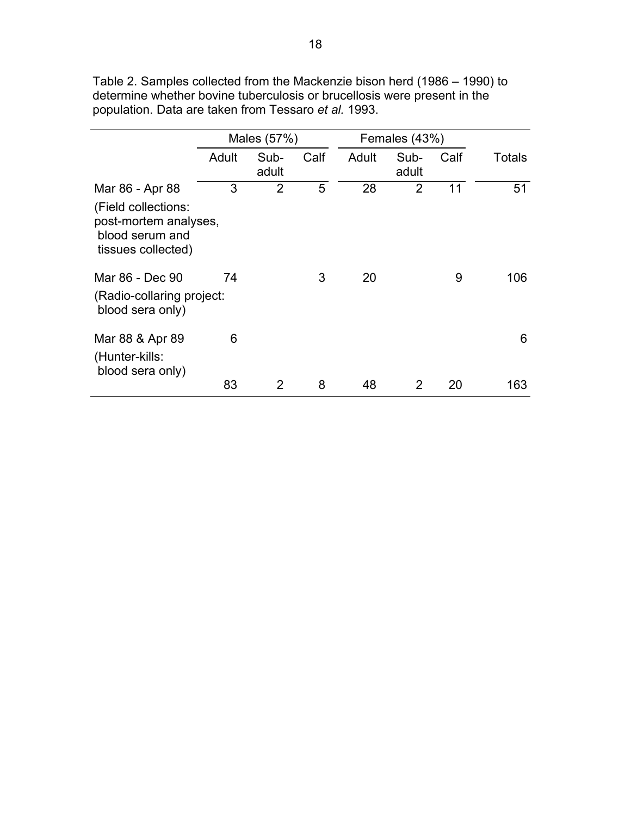|                                                                                                          | Males (57%) |               |      | Females (43%) |               |      |               |
|----------------------------------------------------------------------------------------------------------|-------------|---------------|------|---------------|---------------|------|---------------|
|                                                                                                          | Adult       | Sub-<br>adult | Calf | Adult         | Sub-<br>adult | Calf | <b>Totals</b> |
| Mar 86 - Apr 88<br>(Field collections:<br>post-mortem analyses,<br>blood serum and<br>tissues collected) | 3           | 2             | 5    | 28            | 2             | 11   | 51            |
| Mar 86 - Dec 90<br>(Radio-collaring project:<br>blood sera only)                                         | 74          |               | 3    | 20            |               | 9    | 106           |
| Mar 88 & Apr 89<br>(Hunter-kills:<br>blood sera only)                                                    | 6           |               |      |               |               |      | 6             |
|                                                                                                          | 83          | 2             | 8    | 48            | 2             | 20   | 163           |

<span id="page-22-0"></span>Table 2. Samples collected from the Mackenzie bison herd (1986 – 1990) to determine whether bovine tuberculosis or brucellosis were present in the population. Data are taken from Tessaro *et al.* 1993.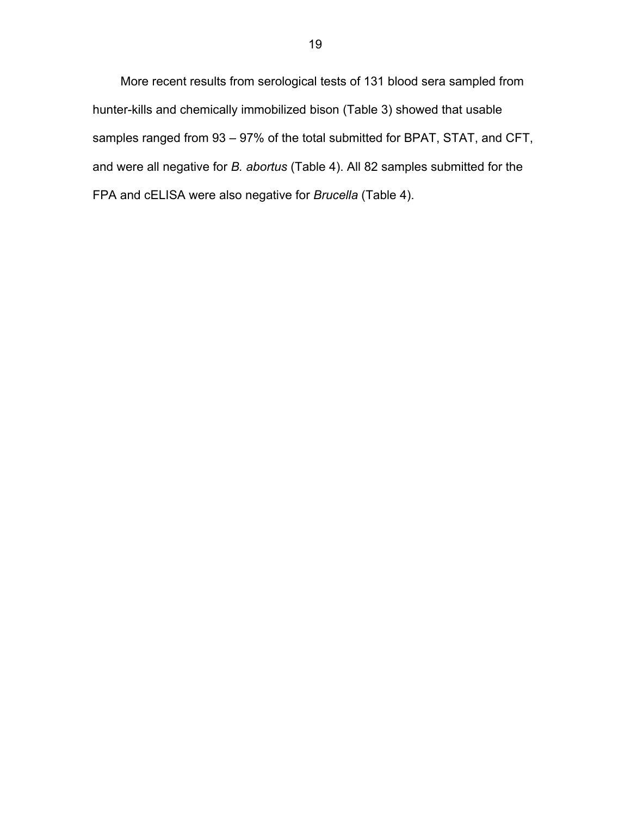More recent results from serological tests of 131 blood sera sampled from hunter-kills and chemically immobilized bison (Table 3) showed that usable samples ranged from 93 – 97% of the total submitted for BPAT, STAT, and CFT, and were all negative for *B. abortus* (Table 4). All 82 samples submitted for the FPA and cELISA were also negative for *Brucella* (Table 4).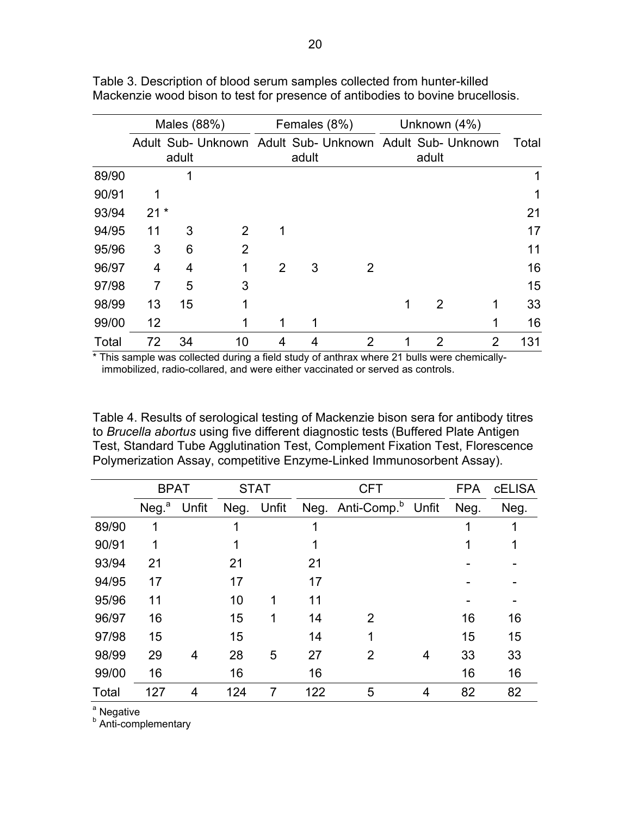|       |                | Males (88%) |                                                          | Females (8%)   |       |                | Unknown (4%) |                |   |       |  |  |  |  |
|-------|----------------|-------------|----------------------------------------------------------|----------------|-------|----------------|--------------|----------------|---|-------|--|--|--|--|
|       |                | adult       | Adult Sub- Unknown Adult Sub- Unknown Adult Sub- Unknown |                | adult |                |              | adult          |   | Total |  |  |  |  |
| 89/90 |                |             |                                                          |                |       |                |              |                |   |       |  |  |  |  |
| 90/91 | 1              |             |                                                          |                |       |                |              |                |   |       |  |  |  |  |
| 93/94 | $21 *$         |             |                                                          |                |       |                |              |                |   | 21    |  |  |  |  |
| 94/95 | 11             | 3           | 2                                                        | 1              |       |                |              |                |   | 17    |  |  |  |  |
| 95/96 | 3              | 6           | 2                                                        |                |       |                |              |                |   | 11    |  |  |  |  |
| 96/97 | 4              | 4           | 1                                                        | $\overline{2}$ | 3     | 2              |              |                |   | 16    |  |  |  |  |
| 97/98 | $\overline{7}$ | 5           | 3                                                        |                |       |                |              |                |   | 15    |  |  |  |  |
| 98/99 | 13             | 15          | 1                                                        |                |       |                | 1            | 2              |   | 33    |  |  |  |  |
| 99/00 | 12             |             |                                                          | 1              | 1     |                |              |                |   | 16    |  |  |  |  |
| Total | 72             | 34          | 10                                                       | 4              | 4     | $\overline{2}$ | 1            | $\overline{2}$ | 2 | 131   |  |  |  |  |

<span id="page-24-0"></span>Table 3. Description of blood serum samples collected from hunter-killed Mackenzie wood bison to test for presence of antibodies to bovine brucellosis.

\* This sample was collected during a field study of anthrax where 21 bulls were chemicallyimmobilized, radio-collared, and were either vaccinated or served as controls.

Table 4. Results of serological testing of Mackenzie bison sera for antibody titres to *Brucella abortus* using five different diagnostic tests (Buffered Plate Antigen Test, Standard Tube Agglutination Test, Complement Fixation Test, Florescence Polymerization Assay, competitive Enzyme-Linked Immunosorbent Assay).

|       | <b>BPAT</b>       |       |      | <b>STAT</b> |     | <b>CFT</b>                   |       |      | <b>CELISA</b> |
|-------|-------------------|-------|------|-------------|-----|------------------------------|-------|------|---------------|
|       | Neg. <sup>a</sup> | Unfit | Neg. | Unfit       |     | Neg. Anti-Comp. <sup>b</sup> | Unfit | Neg. | Neg.          |
| 89/90 | 1                 |       | 1    |             |     |                              |       |      |               |
| 90/91 | 1                 |       | 1    |             |     |                              |       |      |               |
| 93/94 | 21                |       | 21   |             | 21  |                              |       |      |               |
| 94/95 | 17                |       | 17   |             | 17  |                              |       |      |               |
| 95/96 | 11                |       | 10   | 1           | 11  |                              |       |      |               |
| 96/97 | 16                |       | 15   | 1           | 14  | 2                            |       | 16   | 16            |
| 97/98 | 15                |       | 15   |             | 14  | 1                            |       | 15   | 15            |
| 98/99 | 29                | 4     | 28   | 5           | 27  | 2                            | 4     | 33   | 33            |
| 99/00 | 16                |       | 16   |             | 16  |                              |       | 16   | 16            |
| Total | 127               | 4     | 124  | 7           | 122 | 5                            | 4     | 82   | 82            |

<sup>a</sup> Negative

**Anti-complementary**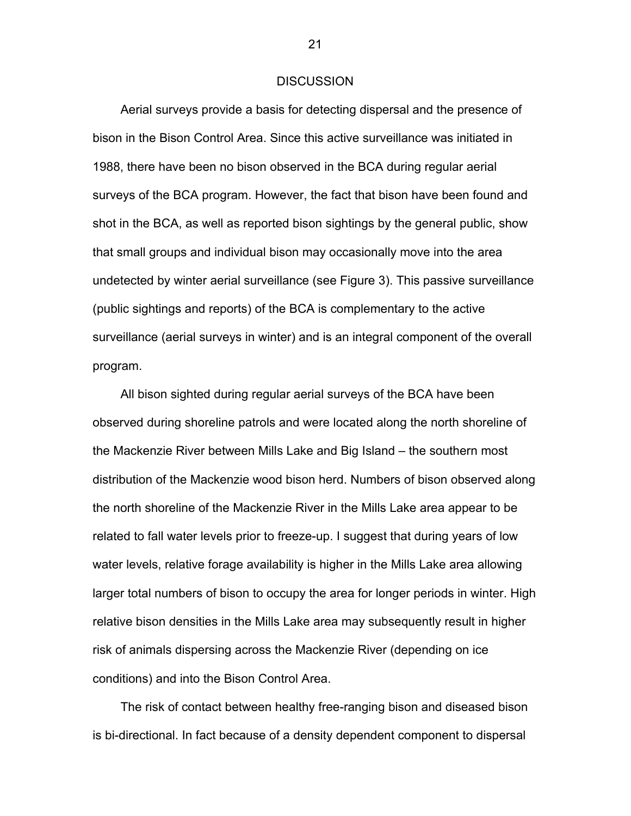#### **DISCUSSION**

<span id="page-25-0"></span>Aerial surveys provide a basis for detecting dispersal and the presence of bison in the Bison Control Area. Since this active surveillance was initiated in 1988, there have been no bison observed in the BCA during regular aerial surveys of the BCA program. However, the fact that bison have been found and shot in the BCA, as well as reported bison sightings by the general public, show that small groups and individual bison may occasionally move into the area undetected by winter aerial surveillance (see Figure 3). This passive surveillance (public sightings and reports) of the BCA is complementary to the active surveillance (aerial surveys in winter) and is an integral component of the overall program.

All bison sighted during regular aerial surveys of the BCA have been observed during shoreline patrols and were located along the north shoreline of the Mackenzie River between Mills Lake and Big Island – the southern most distribution of the Mackenzie wood bison herd. Numbers of bison observed along the north shoreline of the Mackenzie River in the Mills Lake area appear to be related to fall water levels prior to freeze-up. I suggest that during years of low water levels, relative forage availability is higher in the Mills Lake area allowing larger total numbers of bison to occupy the area for longer periods in winter. High relative bison densities in the Mills Lake area may subsequently result in higher risk of animals dispersing across the Mackenzie River (depending on ice conditions) and into the Bison Control Area.

The risk of contact between healthy free-ranging bison and diseased bison is bi-directional. In fact because of a density dependent component to dispersal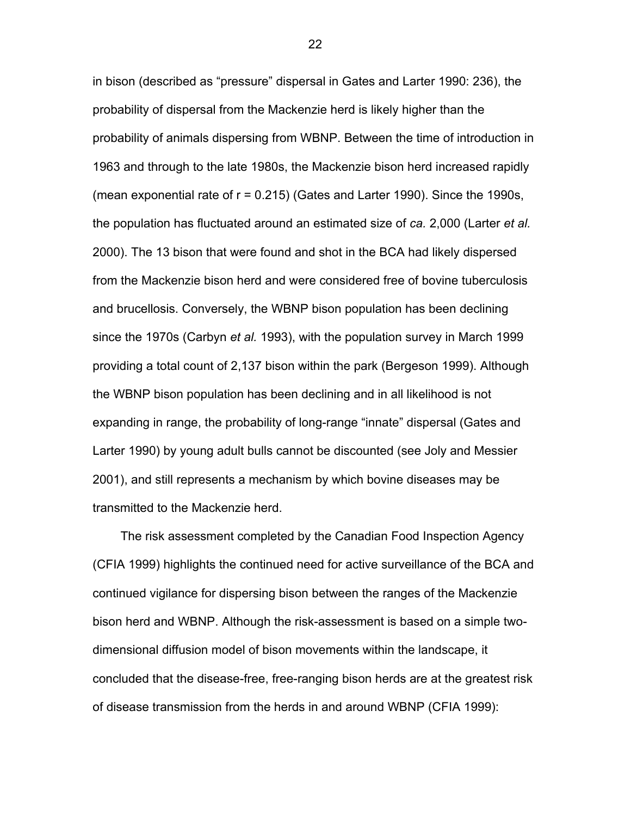in bison (described as "pressure" dispersal in Gates and Larter 1990: 236), the probability of dispersal from the Mackenzie herd is likely higher than the probability of animals dispersing from WBNP. Between the time of introduction in 1963 and through to the late 1980s, the Mackenzie bison herd increased rapidly (mean exponential rate of r = 0.215) (Gates and Larter 1990). Since the 1990s, the population has fluctuated around an estimated size of *ca.* 2,000 (Larter *et al.* 2000). The 13 bison that were found and shot in the BCA had likely dispersed from the Mackenzie bison herd and were considered free of bovine tuberculosis and brucellosis. Conversely, the WBNP bison population has been declining since the 1970s (Carbyn *et al.* 1993), with the population survey in March 1999 providing a total count of 2,137 bison within the park (Bergeson 1999). Although the WBNP bison population has been declining and in all likelihood is not expanding in range, the probability of long-range "innate" dispersal (Gates and Larter 1990) by young adult bulls cannot be discounted (see Joly and Messier 2001), and still represents a mechanism by which bovine diseases may be transmitted to the Mackenzie herd.

The risk assessment completed by the Canadian Food Inspection Agency (CFIA 1999) highlights the continued need for active surveillance of the BCA and continued vigilance for dispersing bison between the ranges of the Mackenzie bison herd and WBNP. Although the risk-assessment is based on a simple twodimensional diffusion model of bison movements within the landscape, it concluded that the disease-free, free-ranging bison herds are at the greatest risk of disease transmission from the herds in and around WBNP (CFIA 1999):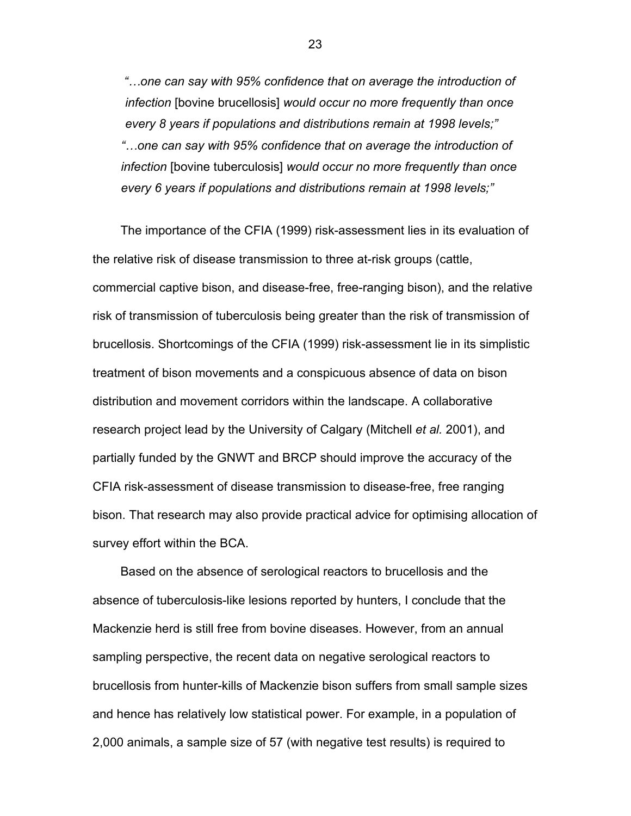*"…one can say with 95% confidence that on average the introduction of infection* [bovine brucellosis] *would occur no more frequently than once every 8 years if populations and distributions remain at 1998 levels;" "…one can say with 95% confidence that on average the introduction of infection* [bovine tuberculosis] *would occur no more frequently than once every 6 years if populations and distributions remain at 1998 levels;"* 

The importance of the CFIA (1999) risk-assessment lies in its evaluation of the relative risk of disease transmission to three at-risk groups (cattle, commercial captive bison, and disease-free, free-ranging bison), and the relative risk of transmission of tuberculosis being greater than the risk of transmission of brucellosis. Shortcomings of the CFIA (1999) risk-assessment lie in its simplistic treatment of bison movements and a conspicuous absence of data on bison distribution and movement corridors within the landscape. A collaborative research project lead by the University of Calgary (Mitchell *et al.* 2001), and partially funded by the GNWT and BRCP should improve the accuracy of the CFIA risk-assessment of disease transmission to disease-free, free ranging bison. That research may also provide practical advice for optimising allocation of survey effort within the BCA.

Based on the absence of serological reactors to brucellosis and the absence of tuberculosis-like lesions reported by hunters, I conclude that the Mackenzie herd is still free from bovine diseases. However, from an annual sampling perspective, the recent data on negative serological reactors to brucellosis from hunter-kills of Mackenzie bison suffers from small sample sizes and hence has relatively low statistical power. For example, in a population of 2,000 animals, a sample size of 57 (with negative test results) is required to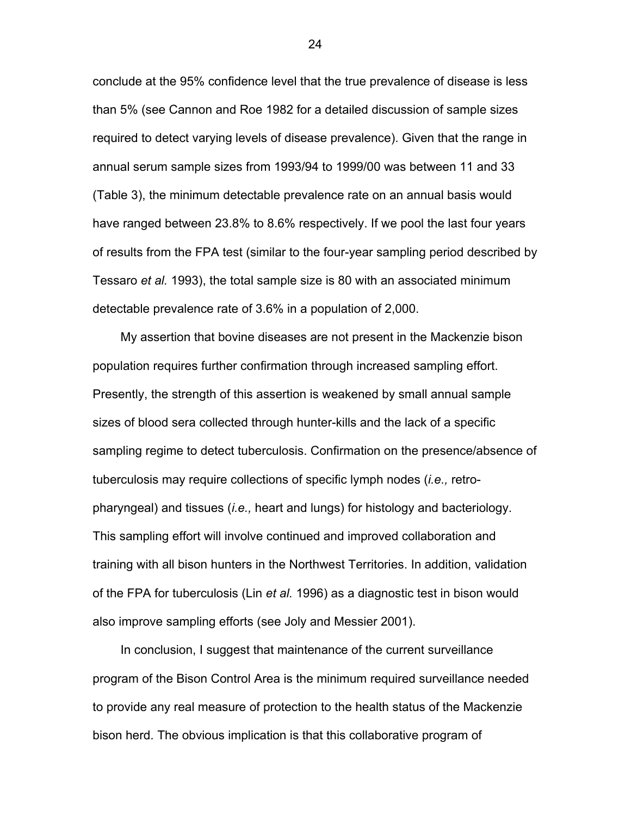conclude at the 95% confidence level that the true prevalence of disease is less than 5% (see Cannon and Roe 1982 for a detailed discussion of sample sizes required to detect varying levels of disease prevalence). Given that the range in annual serum sample sizes from 1993/94 to 1999/00 was between 11 and 33 (Table 3), the minimum detectable prevalence rate on an annual basis would have ranged between 23.8% to 8.6% respectively. If we pool the last four years of results from the FPA test (similar to the four-year sampling period described by Tessaro *et al.* 1993), the total sample size is 80 with an associated minimum detectable prevalence rate of 3.6% in a population of 2,000.

My assertion that bovine diseases are not present in the Mackenzie bison population requires further confirmation through increased sampling effort. Presently, the strength of this assertion is weakened by small annual sample sizes of blood sera collected through hunter-kills and the lack of a specific sampling regime to detect tuberculosis. Confirmation on the presence/absence of tuberculosis may require collections of specific lymph nodes (*i.e.,* retropharyngeal) and tissues (*i.e.,* heart and lungs) for histology and bacteriology. This sampling effort will involve continued and improved collaboration and training with all bison hunters in the Northwest Territories. In addition, validation of the FPA for tuberculosis (Lin *et al.* 1996) as a diagnostic test in bison would also improve sampling efforts (see Joly and Messier 2001).

In conclusion, I suggest that maintenance of the current surveillance program of the Bison Control Area is the minimum required surveillance needed to provide any real measure of protection to the health status of the Mackenzie bison herd. The obvious implication is that this collaborative program of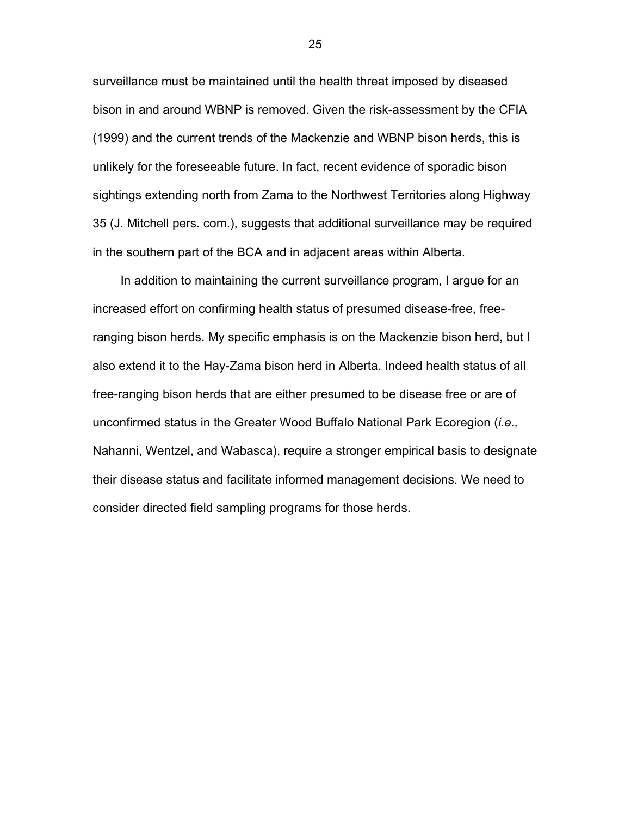surveillance must be maintained until the health threat imposed by diseased bison in and around WBNP is removed. Given the risk-assessment by the CFIA (1999) and the current trends of the Mackenzie and WBNP bison herds, this is unlikely for the foreseeable future. In fact, recent evidence of sporadic bison sightings extending north from Zama to the Northwest Territories along Highway 35 (J. Mitchell pers. com.), suggests that additional surveillance may be required in the southern part of the BCA and in adjacent areas within Alberta.

In addition to maintaining the current surveillance program, I argue for an increased effort on confirming health status of presumed disease-free, freeranging bison herds. My specific emphasis is on the Mackenzie bison herd, but I also extend it to the Hay-Zama bison herd in Alberta. Indeed health status of all free-ranging bison herds that are either presumed to be disease free or are of unconfirmed status in the Greater Wood Buffalo National Park Ecoregion (*i.e.,* Nahanni, Wentzel, and Wabasca), require a stronger empirical basis to designate their disease status and facilitate informed management decisions. We need to consider directed field sampling programs for those herds.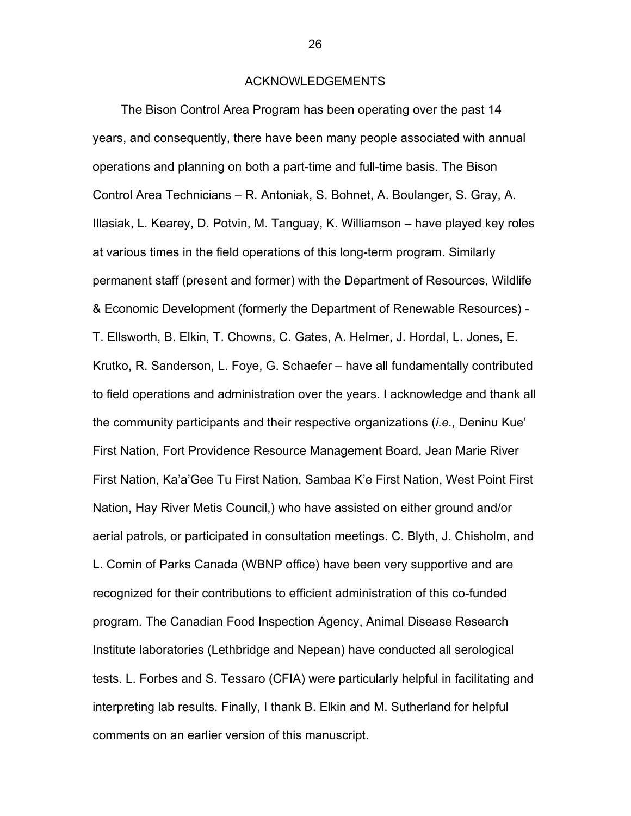#### ACKNOWLEDGEMENTS

<span id="page-30-0"></span>The Bison Control Area Program has been operating over the past 14 years, and consequently, there have been many people associated with annual operations and planning on both a part-time and full-time basis. The Bison Control Area Technicians – R. Antoniak, S. Bohnet, A. Boulanger, S. Gray, A. Illasiak, L. Kearey, D. Potvin, M. Tanguay, K. Williamson – have played key roles at various times in the field operations of this long-term program. Similarly permanent staff (present and former) with the Department of Resources, Wildlife & Economic Development (formerly the Department of Renewable Resources) - T. Ellsworth, B. Elkin, T. Chowns, C. Gates, A. Helmer, J. Hordal, L. Jones, E. Krutko, R. Sanderson, L. Foye, G. Schaefer – have all fundamentally contributed to field operations and administration over the years. I acknowledge and thank all the community participants and their respective organizations (*i.e.,* Deninu Kue' First Nation, Fort Providence Resource Management Board, Jean Marie River First Nation, Ka'a'Gee Tu First Nation, Sambaa K'e First Nation, West Point First Nation, Hay River Metis Council,) who have assisted on either ground and/or aerial patrols, or participated in consultation meetings. C. Blyth, J. Chisholm, and L. Comin of Parks Canada (WBNP office) have been very supportive and are recognized for their contributions to efficient administration of this co-funded program. The Canadian Food Inspection Agency, Animal Disease Research Institute laboratories (Lethbridge and Nepean) have conducted all serological tests. L. Forbes and S. Tessaro (CFIA) were particularly helpful in facilitating and interpreting lab results. Finally, I thank B. Elkin and M. Sutherland for helpful comments on an earlier version of this manuscript.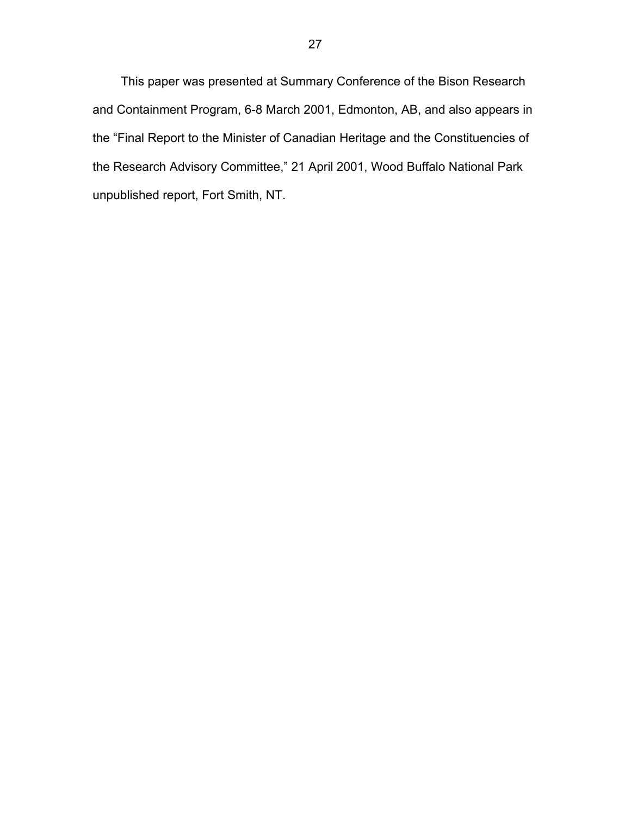This paper was presented at Summary Conference of the Bison Research and Containment Program, 6-8 March 2001, Edmonton, AB, and also appears in the "Final Report to the Minister of Canadian Heritage and the Constituencies of the Research Advisory Committee," 21 April 2001, Wood Buffalo National Park unpublished report, Fort Smith, NT.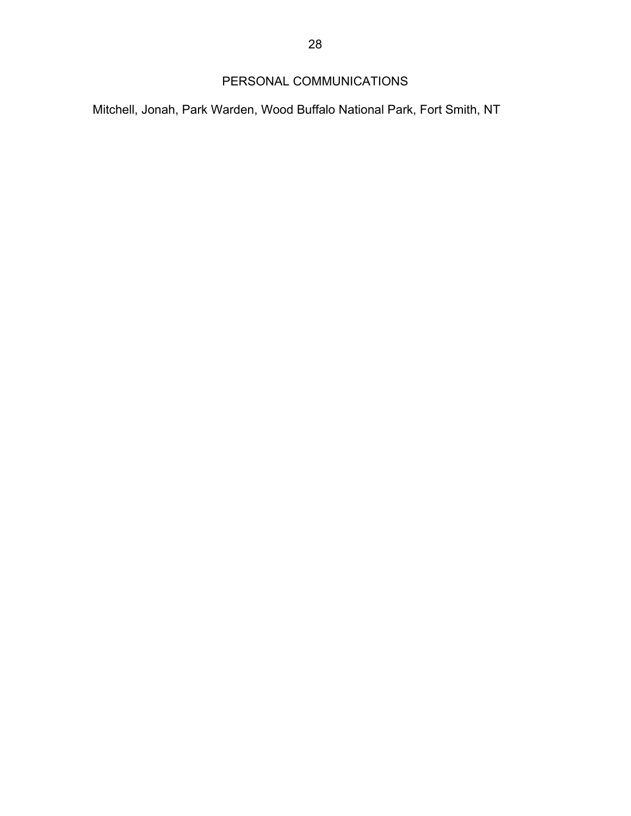# PERSONAL COMMUNICATIONS

<span id="page-32-0"></span>Mitchell, Jonah, Park Warden, Wood Buffalo National Park, Fort Smith, NT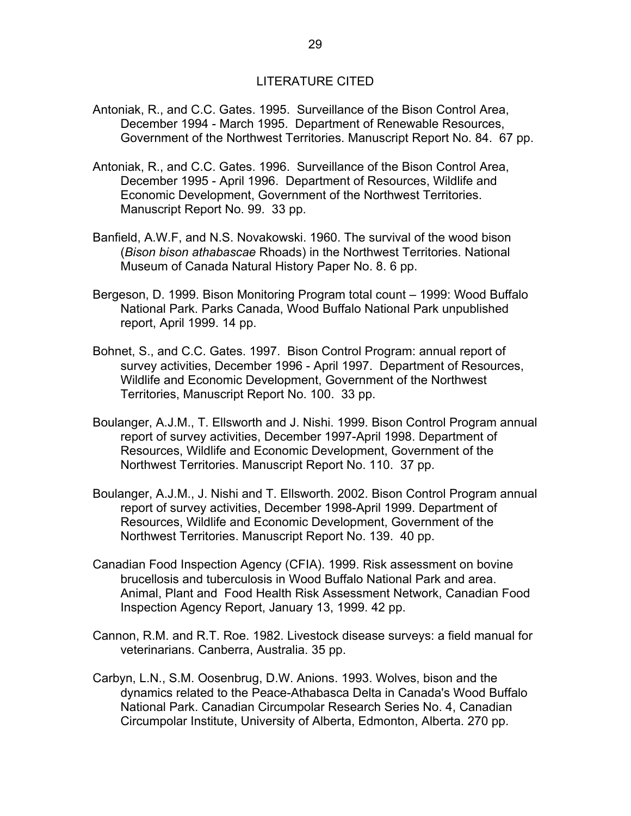### LITERATURE CITED

- <span id="page-33-0"></span>Antoniak, R., and C.C. Gates. 1995. Surveillance of the Bison Control Area, December 1994 - March 1995. Department of Renewable Resources, Government of the Northwest Territories. Manuscript Report No. 84. 67 pp.
- Antoniak, R., and C.C. Gates. 1996. Surveillance of the Bison Control Area, December 1995 - April 1996. Department of Resources, Wildlife and Economic Development, Government of the Northwest Territories. Manuscript Report No. 99. 33 pp.
- Banfield, A.W.F, and N.S. Novakowski. 1960. The survival of the wood bison (*Bison bison athabascae* Rhoads) in the Northwest Territories. National Museum of Canada Natural History Paper No. 8. 6 pp.
- Bergeson, D. 1999. Bison Monitoring Program total count 1999: Wood Buffalo National Park. Parks Canada, Wood Buffalo National Park unpublished report, April 1999. 14 pp.
- Bohnet, S., and C.C. Gates. 1997. Bison Control Program: annual report of survey activities, December 1996 - April 1997. Department of Resources, Wildlife and Economic Development, Government of the Northwest Territories, Manuscript Report No. 100. 33 pp.
- Boulanger, A.J.M., T. Ellsworth and J. Nishi. 1999. Bison Control Program annual report of survey activities, December 1997-April 1998. Department of Resources, Wildlife and Economic Development, Government of the Northwest Territories. Manuscript Report No. 110. 37 pp.
- Boulanger, A.J.M., J. Nishi and T. Ellsworth. 2002. Bison Control Program annual report of survey activities, December 1998-April 1999. Department of Resources, Wildlife and Economic Development, Government of the Northwest Territories. Manuscript Report No. 139. 40 pp.
- Canadian Food Inspection Agency (CFIA). 1999. Risk assessment on bovine brucellosis and tuberculosis in Wood Buffalo National Park and area. Animal, Plant and Food Health Risk Assessment Network, Canadian Food Inspection Agency Report, January 13, 1999. 42 pp.
- Cannon, R.M. and R.T. Roe. 1982. Livestock disease surveys: a field manual for veterinarians. Canberra, Australia. 35 pp.
- Carbyn, L.N., S.M. Oosenbrug, D.W. Anions. 1993. Wolves, bison and the dynamics related to the Peace-Athabasca Delta in Canada's Wood Buffalo National Park. Canadian Circumpolar Research Series No. 4, Canadian Circumpolar Institute, University of Alberta, Edmonton, Alberta. 270 pp.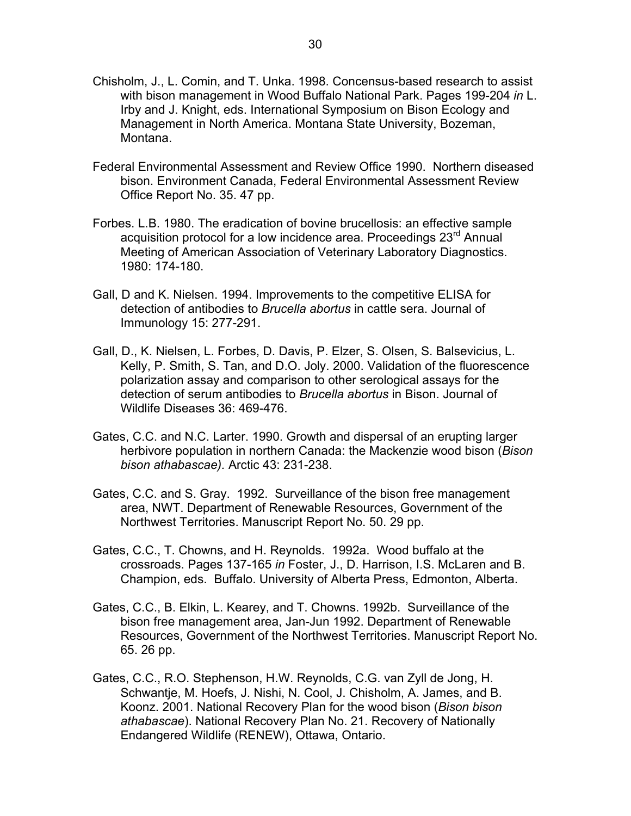- Chisholm, J., L. Comin, and T. Unka. 1998. Concensus-based research to assist with bison management in Wood Buffalo National Park. Pages 199-204 *in* L. Irby and J. Knight, eds. International Symposium on Bison Ecology and Management in North America. Montana State University, Bozeman, Montana.
- Federal Environmental Assessment and Review Office 1990. Northern diseased bison. Environment Canada, Federal Environmental Assessment Review Office Report No. 35. 47 pp.
- Forbes. L.B. 1980. The eradication of bovine brucellosis: an effective sample acquisition protocol for a low incidence area. Proceedings 23<sup>rd</sup> Annual Meeting of American Association of Veterinary Laboratory Diagnostics. 1980: 174-180.
- Gall, D and K. Nielsen. 1994. Improvements to the competitive ELISA for detection of antibodies to *Brucella abortus* in cattle sera. Journal of Immunology 15: 277-291.
- Gall, D., K. Nielsen, L. Forbes, D. Davis, P. Elzer, S. Olsen, S. Balsevicius, L. Kelly, P. Smith, S. Tan, and D.O. Joly. 2000. Validation of the fluorescence polarization assay and comparison to other serological assays for the detection of serum antibodies to *Brucella abortus* in Bison. Journal of Wildlife Diseases 36: 469-476.
- Gates, C.C. and N.C. Larter. 1990. Growth and dispersal of an erupting larger herbivore population in northern Canada: the Mackenzie wood bison (*Bison bison athabascae).* Arctic 43: 231-238.
- Gates, C.C. and S. Gray. 1992. Surveillance of the bison free management area, NWT. Department of Renewable Resources, Government of the Northwest Territories. Manuscript Report No. 50. 29 pp.
- Gates, C.C., T. Chowns, and H. Reynolds. 1992a. Wood buffalo at the crossroads. Pages 137-165 *in* Foster, J., D. Harrison, I.S. McLaren and B. Champion, eds. Buffalo. University of Alberta Press, Edmonton, Alberta.
- Gates, C.C., B. Elkin, L. Kearey, and T. Chowns. 1992b. Surveillance of the bison free management area, Jan-Jun 1992. Department of Renewable Resources, Government of the Northwest Territories. Manuscript Report No. 65. 26 pp.
- Gates, C.C., R.O. Stephenson, H.W. Reynolds, C.G. van Zyll de Jong, H. Schwantje, M. Hoefs, J. Nishi, N. Cool, J. Chisholm, A. James, and B. Koonz. 2001. National Recovery Plan for the wood bison (*Bison bison athabascae*). National Recovery Plan No. 21. Recovery of Nationally Endangered Wildlife (RENEW), Ottawa, Ontario.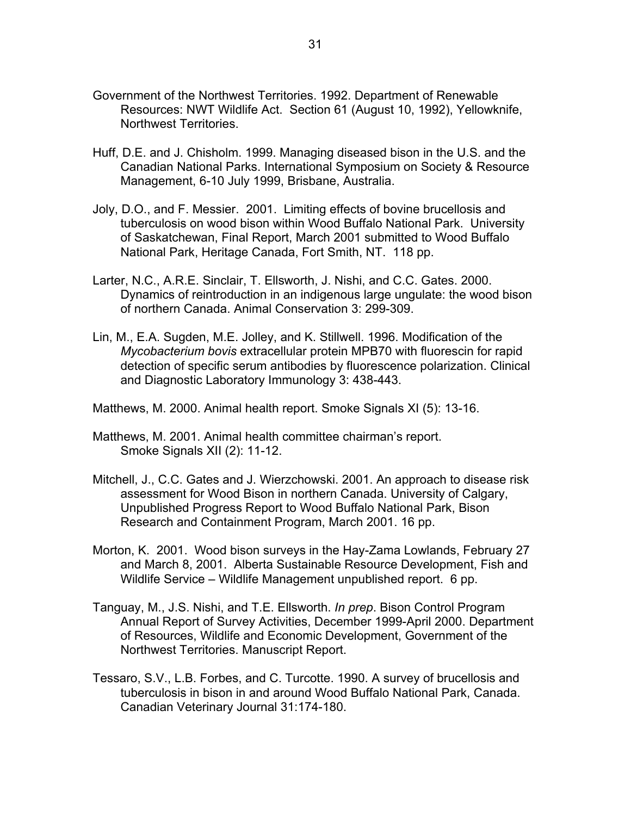- Government of the Northwest Territories. 1992. Department of Renewable Resources: NWT Wildlife Act. Section 61 (August 10, 1992), Yellowknife, Northwest Territories.
- Huff, D.E. and J. Chisholm. 1999. Managing diseased bison in the U.S. and the Canadian National Parks. International Symposium on Society & Resource Management, 6-10 July 1999, Brisbane, Australia.
- Joly, D.O., and F. Messier. 2001. Limiting effects of bovine brucellosis and tuberculosis on wood bison within Wood Buffalo National Park. University of Saskatchewan, Final Report, March 2001 submitted to Wood Buffalo National Park, Heritage Canada, Fort Smith, NT. 118 pp.
- Larter, N.C., A.R.E. Sinclair, T. Ellsworth, J. Nishi, and C.C. Gates. 2000. Dynamics of reintroduction in an indigenous large ungulate: the wood bison of northern Canada. Animal Conservation 3: 299-309.
- Lin, M., E.A. Sugden, M.E. Jolley, and K. Stillwell. 1996. Modification of the *Mycobacterium bovis* extracellular protein MPB70 with fluorescin for rapid detection of specific serum antibodies by fluorescence polarization. Clinical and Diagnostic Laboratory Immunology 3: 438-443.

Matthews, M. 2000. Animal health report. Smoke Signals XI (5): 13-16.

- Matthews, M. 2001. Animal health committee chairman's report. Smoke Signals XII (2): 11-12.
- Mitchell, J., C.C. Gates and J. Wierzchowski. 2001. An approach to disease risk assessment for Wood Bison in northern Canada. University of Calgary, Unpublished Progress Report to Wood Buffalo National Park, Bison Research and Containment Program, March 2001. 16 pp.
- Morton, K. 2001. Wood bison surveys in the Hay-Zama Lowlands, February 27 and March 8, 2001. Alberta Sustainable Resource Development, Fish and Wildlife Service – Wildlife Management unpublished report. 6 pp.
- Tanguay, M., J.S. Nishi, and T.E. Ellsworth. *In prep*. Bison Control Program Annual Report of Survey Activities, December 1999-April 2000. Department of Resources, Wildlife and Economic Development, Government of the Northwest Territories. Manuscript Report.
- Tessaro, S.V., L.B. Forbes, and C. Turcotte. 1990. A survey of brucellosis and tuberculosis in bison in and around Wood Buffalo National Park, Canada. Canadian Veterinary Journal 31:174-180.